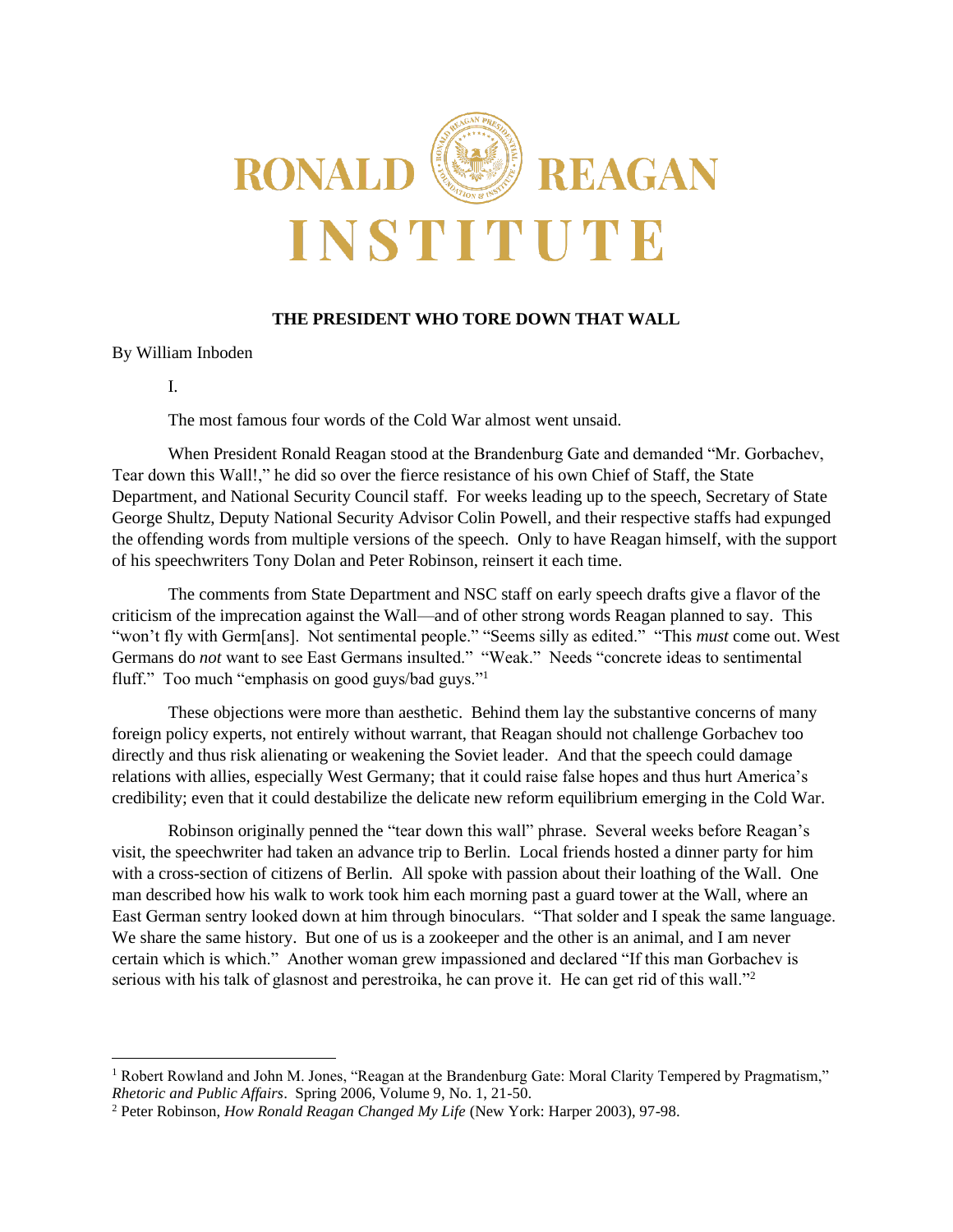

# **THE PRESIDENT WHO TORE DOWN THAT WALL**

By William Inboden

I.

The most famous four words of the Cold War almost went unsaid.

When President Ronald Reagan stood at the Brandenburg Gate and demanded "Mr. Gorbachev, Tear down this Wall!," he did so over the fierce resistance of his own Chief of Staff, the State Department, and National Security Council staff. For weeks leading up to the speech, Secretary of State George Shultz, Deputy National Security Advisor Colin Powell, and their respective staffs had expunged the offending words from multiple versions of the speech. Only to have Reagan himself, with the support of his speechwriters Tony Dolan and Peter Robinson, reinsert it each time.

The comments from State Department and NSC staff on early speech drafts give a flavor of the criticism of the imprecation against the Wall—and of other strong words Reagan planned to say. This "won't fly with Germ[ans]. Not sentimental people." "Seems silly as edited." "This *must* come out. West Germans do *not* want to see East Germans insulted." "Weak." Needs "concrete ideas to sentimental fluff." Too much "emphasis on good guys/bad guys."<sup>1</sup>

These objections were more than aesthetic. Behind them lay the substantive concerns of many foreign policy experts, not entirely without warrant, that Reagan should not challenge Gorbachev too directly and thus risk alienating or weakening the Soviet leader. And that the speech could damage relations with allies, especially West Germany; that it could raise false hopes and thus hurt America's credibility; even that it could destabilize the delicate new reform equilibrium emerging in the Cold War.

Robinson originally penned the "tear down this wall" phrase. Several weeks before Reagan's visit, the speechwriter had taken an advance trip to Berlin. Local friends hosted a dinner party for him with a cross-section of citizens of Berlin. All spoke with passion about their loathing of the Wall. One man described how his walk to work took him each morning past a guard tower at the Wall, where an East German sentry looked down at him through binoculars. "That solder and I speak the same language. We share the same history. But one of us is a zookeeper and the other is an animal, and I am never certain which is which." Another woman grew impassioned and declared "If this man Gorbachev is serious with his talk of glasnost and perestroika, he can prove it. He can get rid of this wall."<sup>2</sup>

<sup>&</sup>lt;sup>1</sup> Robert Rowland and John M. Jones, "Reagan at the Brandenburg Gate: Moral Clarity Tempered by Pragmatism," *Rhetoric and Public Affairs*. Spring 2006, Volume 9, No. 1, 21-50.

<sup>2</sup> Peter Robinson, *How Ronald Reagan Changed My Life* (New York: Harper 2003), 97-98.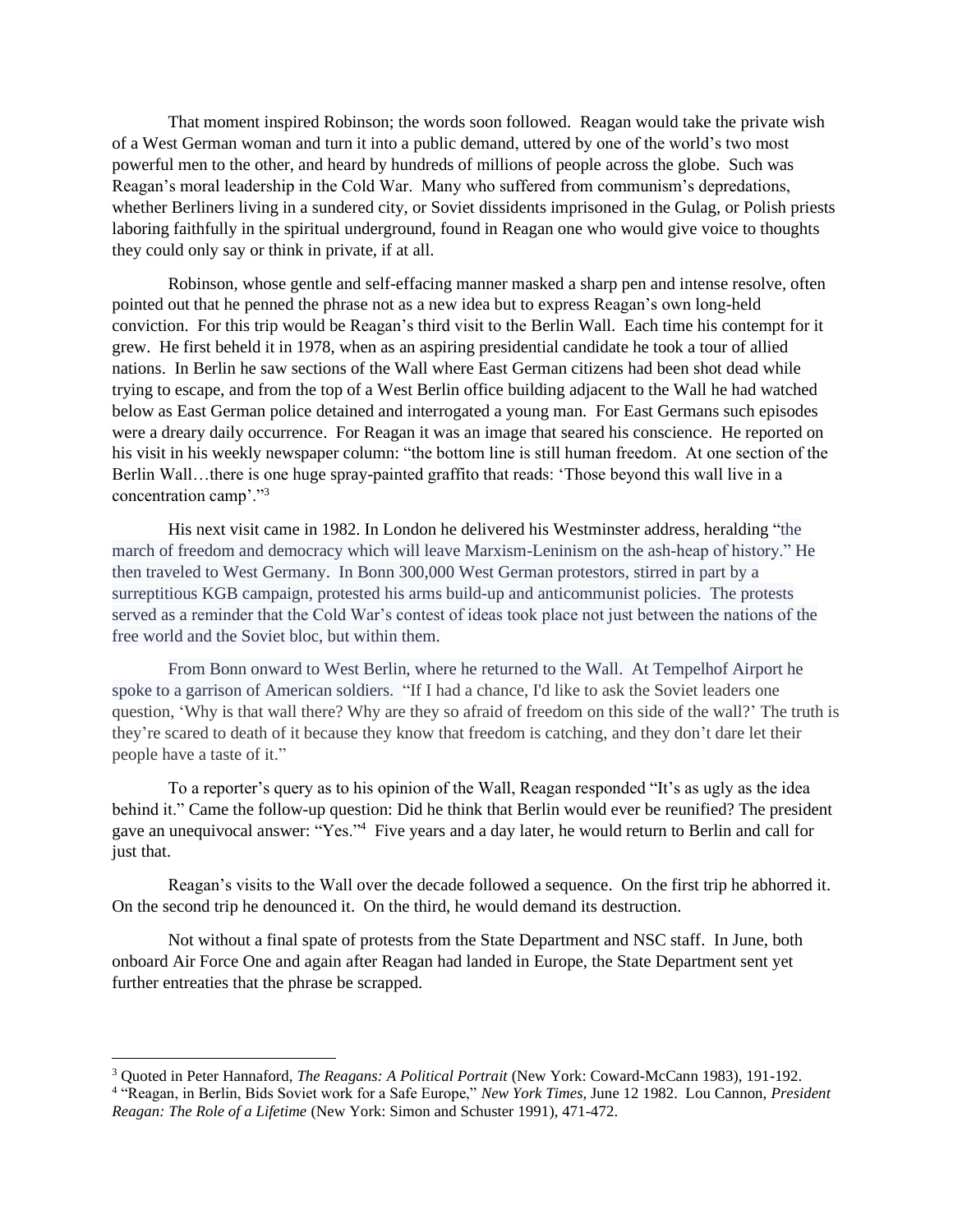That moment inspired Robinson; the words soon followed. Reagan would take the private wish of a West German woman and turn it into a public demand, uttered by one of the world's two most powerful men to the other, and heard by hundreds of millions of people across the globe. Such was Reagan's moral leadership in the Cold War. Many who suffered from communism's depredations, whether Berliners living in a sundered city, or Soviet dissidents imprisoned in the Gulag, or Polish priests laboring faithfully in the spiritual underground, found in Reagan one who would give voice to thoughts they could only say or think in private, if at all.

Robinson, whose gentle and self-effacing manner masked a sharp pen and intense resolve, often pointed out that he penned the phrase not as a new idea but to express Reagan's own long-held conviction. For this trip would be Reagan's third visit to the Berlin Wall. Each time his contempt for it grew. He first beheld it in 1978, when as an aspiring presidential candidate he took a tour of allied nations. In Berlin he saw sections of the Wall where East German citizens had been shot dead while trying to escape, and from the top of a West Berlin office building adjacent to the Wall he had watched below as East German police detained and interrogated a young man. For East Germans such episodes were a dreary daily occurrence. For Reagan it was an image that seared his conscience. He reported on his visit in his weekly newspaper column: "the bottom line is still human freedom. At one section of the Berlin Wall…there is one huge spray-painted graffito that reads: 'Those beyond this wall live in a concentration camp'."<sup>3</sup>

His next visit came in 1982. In London he delivered his Westminster address, heralding "the march of freedom and democracy which will leave Marxism-Leninism on the ash-heap of history." He then traveled to West Germany. In Bonn 300,000 West German protestors, stirred in part by a surreptitious KGB campaign, protested his arms build-up and anticommunist policies. The protests served as a reminder that the Cold War's contest of ideas took place not just between the nations of the free world and the Soviet bloc, but within them.

From Bonn onward to West Berlin, where he returned to the Wall. At Tempelhof Airport he spoke to a garrison of American soldiers. "If I had a chance, I'd like to ask the Soviet leaders one question, 'Why is that wall there? Why are they so afraid of freedom on this side of the wall?' The truth is they're scared to death of it because they know that freedom is catching, and they don't dare let their people have a taste of it."

To a reporter's query as to his opinion of the Wall, Reagan responded "It's as ugly as the idea behind it." Came the follow-up question: Did he think that Berlin would ever be reunified? The president gave an unequivocal answer: "Yes."<sup>4</sup> Five years and a day later, he would return to Berlin and call for just that.

Reagan's visits to the Wall over the decade followed a sequence. On the first trip he abhorred it. On the second trip he denounced it. On the third, he would demand its destruction.

Not without a final spate of protests from the State Department and NSC staff. In June, both onboard Air Force One and again after Reagan had landed in Europe, the State Department sent yet further entreaties that the phrase be scrapped.

<sup>3</sup> Quoted in Peter Hannaford, *The Reagans: A Political Portrait* (New York: Coward-McCann 1983), 191-192.

<sup>4</sup> "Reagan, in Berlin, Bids Soviet work for a Safe Europe," *New York Times*, June 12 1982. Lou Cannon, *President Reagan: The Role of a Lifetime* (New York: Simon and Schuster 1991), 471-472.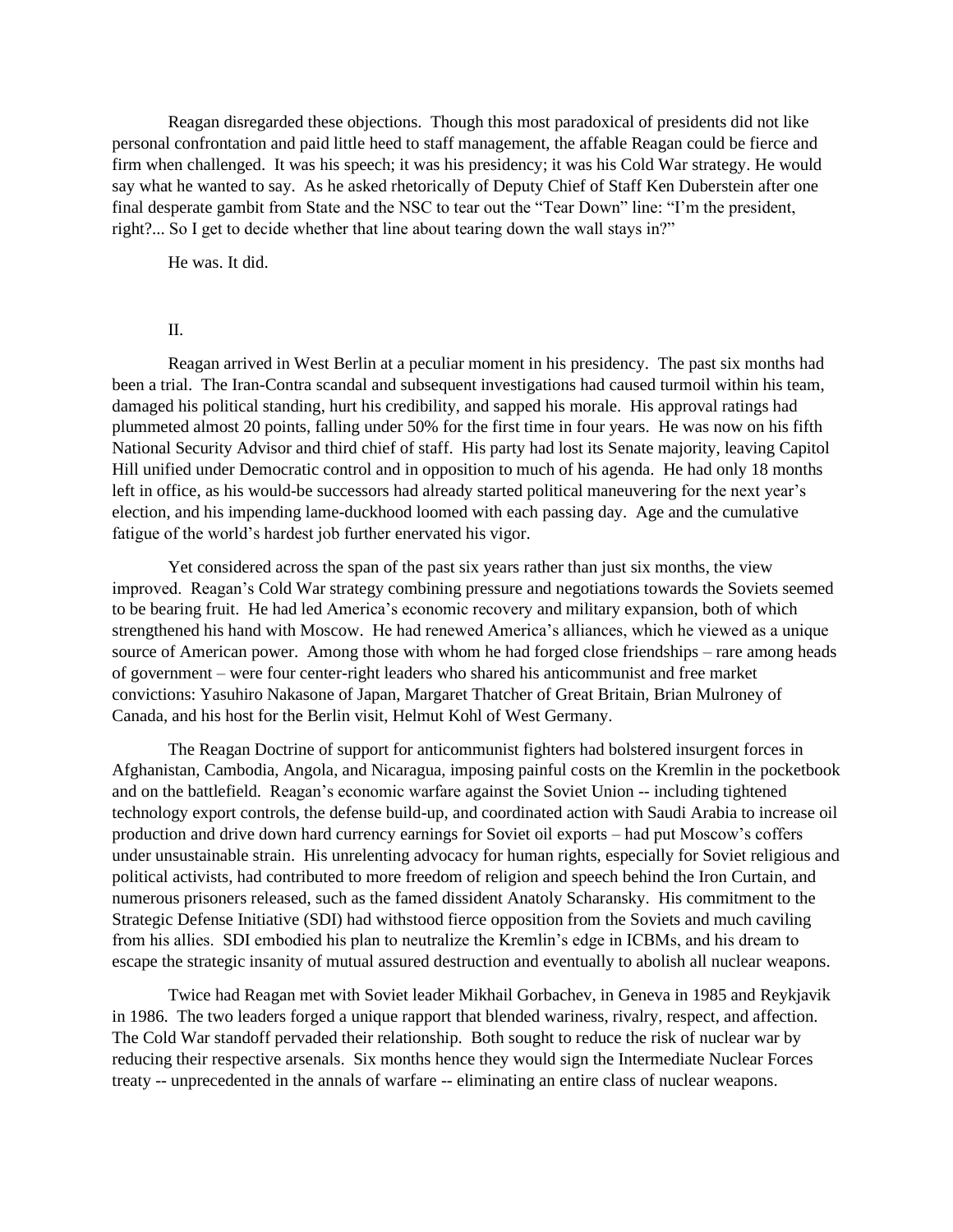Reagan disregarded these objections. Though this most paradoxical of presidents did not like personal confrontation and paid little heed to staff management, the affable Reagan could be fierce and firm when challenged. It was his speech; it was his presidency; it was his Cold War strategy. He would say what he wanted to say. As he asked rhetorically of Deputy Chief of Staff Ken Duberstein after one final desperate gambit from State and the NSC to tear out the "Tear Down" line: "I'm the president, right?... So I get to decide whether that line about tearing down the wall stays in?"

He was. It did.

## $II$ .

Reagan arrived in West Berlin at a peculiar moment in his presidency. The past six months had been a trial. The Iran-Contra scandal and subsequent investigations had caused turmoil within his team, damaged his political standing, hurt his credibility, and sapped his morale. His approval ratings had plummeted almost 20 points, falling under 50% for the first time in four years. He was now on his fifth National Security Advisor and third chief of staff. His party had lost its Senate majority, leaving Capitol Hill unified under Democratic control and in opposition to much of his agenda. He had only 18 months left in office, as his would-be successors had already started political maneuvering for the next year's election, and his impending lame-duckhood loomed with each passing day. Age and the cumulative fatigue of the world's hardest job further enervated his vigor.

Yet considered across the span of the past six years rather than just six months, the view improved. Reagan's Cold War strategy combining pressure and negotiations towards the Soviets seemed to be bearing fruit. He had led America's economic recovery and military expansion, both of which strengthened his hand with Moscow. He had renewed America's alliances, which he viewed as a unique source of American power. Among those with whom he had forged close friendships – rare among heads of government – were four center-right leaders who shared his anticommunist and free market convictions: Yasuhiro Nakasone of Japan, Margaret Thatcher of Great Britain, Brian Mulroney of Canada, and his host for the Berlin visit, Helmut Kohl of West Germany.

The Reagan Doctrine of support for anticommunist fighters had bolstered insurgent forces in Afghanistan, Cambodia, Angola, and Nicaragua, imposing painful costs on the Kremlin in the pocketbook and on the battlefield. Reagan's economic warfare against the Soviet Union -- including tightened technology export controls, the defense build-up, and coordinated action with Saudi Arabia to increase oil production and drive down hard currency earnings for Soviet oil exports – had put Moscow's coffers under unsustainable strain. His unrelenting advocacy for human rights, especially for Soviet religious and political activists, had contributed to more freedom of religion and speech behind the Iron Curtain, and numerous prisoners released, such as the famed dissident Anatoly Scharansky. His commitment to the Strategic Defense Initiative (SDI) had withstood fierce opposition from the Soviets and much caviling from his allies. SDI embodied his plan to neutralize the Kremlin's edge in ICBMs, and his dream to escape the strategic insanity of mutual assured destruction and eventually to abolish all nuclear weapons.

Twice had Reagan met with Soviet leader Mikhail Gorbachev, in Geneva in 1985 and Reykjavik in 1986. The two leaders forged a unique rapport that blended wariness, rivalry, respect, and affection. The Cold War standoff pervaded their relationship. Both sought to reduce the risk of nuclear war by reducing their respective arsenals. Six months hence they would sign the Intermediate Nuclear Forces treaty -- unprecedented in the annals of warfare -- eliminating an entire class of nuclear weapons.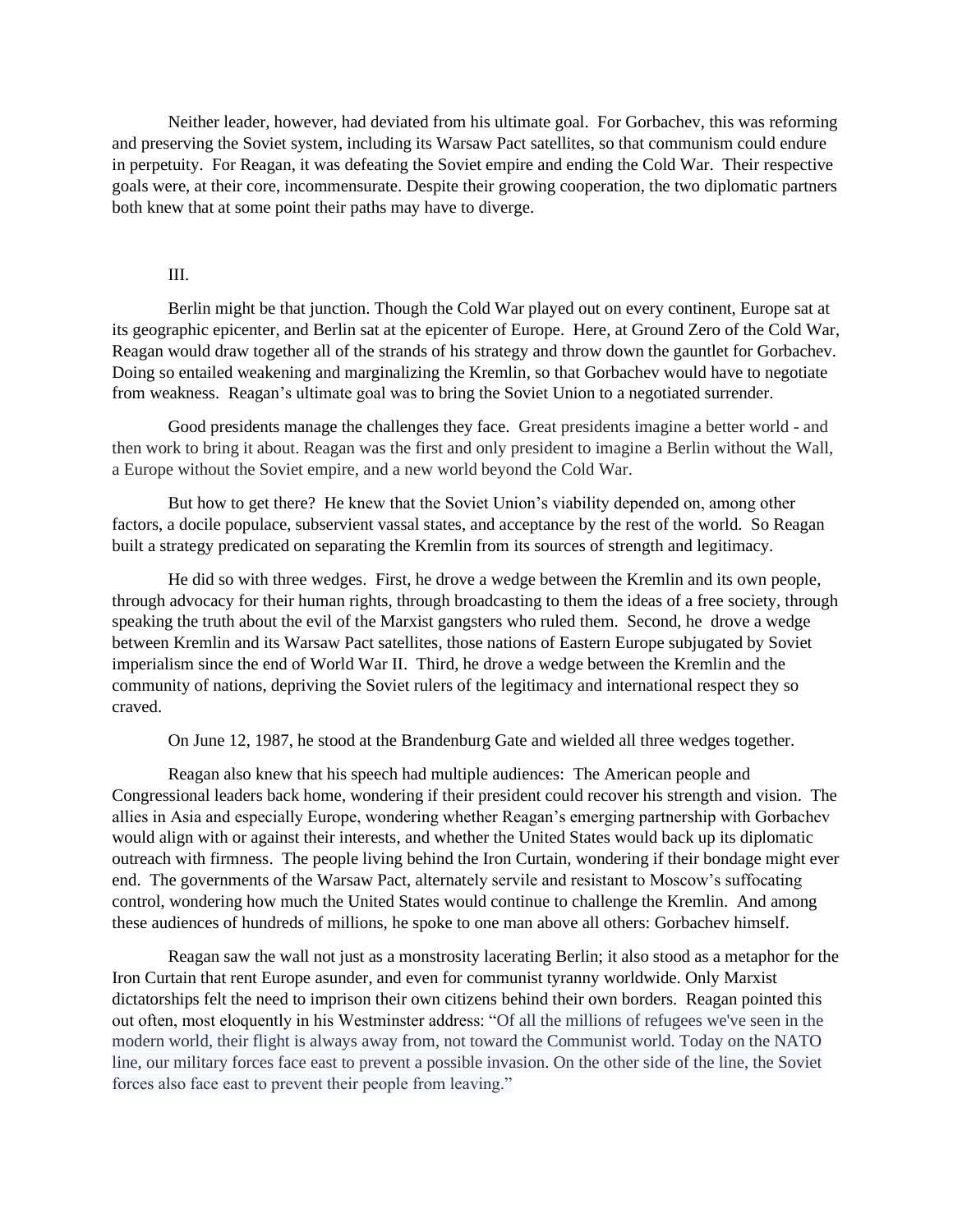Neither leader, however, had deviated from his ultimate goal. For Gorbachev, this was reforming and preserving the Soviet system, including its Warsaw Pact satellites, so that communism could endure in perpetuity. For Reagan, it was defeating the Soviet empire and ending the Cold War. Their respective goals were, at their core, incommensurate. Despite their growing cooperation, the two diplomatic partners both knew that at some point their paths may have to diverge.

## III.

Berlin might be that junction. Though the Cold War played out on every continent, Europe sat at its geographic epicenter, and Berlin sat at the epicenter of Europe. Here, at Ground Zero of the Cold War, Reagan would draw together all of the strands of his strategy and throw down the gauntlet for Gorbachev. Doing so entailed weakening and marginalizing the Kremlin, so that Gorbachev would have to negotiate from weakness. Reagan's ultimate goal was to bring the Soviet Union to a negotiated surrender.

Good presidents manage the challenges they face. Great presidents imagine a better world - and then work to bring it about. Reagan was the first and only president to imagine a Berlin without the Wall, a Europe without the Soviet empire, and a new world beyond the Cold War.

But how to get there? He knew that the Soviet Union's viability depended on, among other factors, a docile populace, subservient vassal states, and acceptance by the rest of the world. So Reagan built a strategy predicated on separating the Kremlin from its sources of strength and legitimacy.

He did so with three wedges. First, he drove a wedge between the Kremlin and its own people, through advocacy for their human rights, through broadcasting to them the ideas of a free society, through speaking the truth about the evil of the Marxist gangsters who ruled them. Second, he drove a wedge between Kremlin and its Warsaw Pact satellites, those nations of Eastern Europe subjugated by Soviet imperialism since the end of World War II. Third, he drove a wedge between the Kremlin and the community of nations, depriving the Soviet rulers of the legitimacy and international respect they so craved.

On June 12, 1987, he stood at the Brandenburg Gate and wielded all three wedges together.

Reagan also knew that his speech had multiple audiences: The American people and Congressional leaders back home, wondering if their president could recover his strength and vision. The allies in Asia and especially Europe, wondering whether Reagan's emerging partnership with Gorbachev would align with or against their interests, and whether the United States would back up its diplomatic outreach with firmness. The people living behind the Iron Curtain, wondering if their bondage might ever end. The governments of the Warsaw Pact, alternately servile and resistant to Moscow's suffocating control, wondering how much the United States would continue to challenge the Kremlin. And among these audiences of hundreds of millions, he spoke to one man above all others: Gorbachev himself.

Reagan saw the wall not just as a monstrosity lacerating Berlin; it also stood as a metaphor for the Iron Curtain that rent Europe asunder, and even for communist tyranny worldwide. Only Marxist dictatorships felt the need to imprison their own citizens behind their own borders. Reagan pointed this out often, most eloquently in his Westminster address: "Of all the millions of refugees we've seen in the modern world, their flight is always away from, not toward the Communist world. Today on the NATO line, our military forces face east to prevent a possible invasion. On the other side of the line, the Soviet forces also face east to prevent their people from leaving."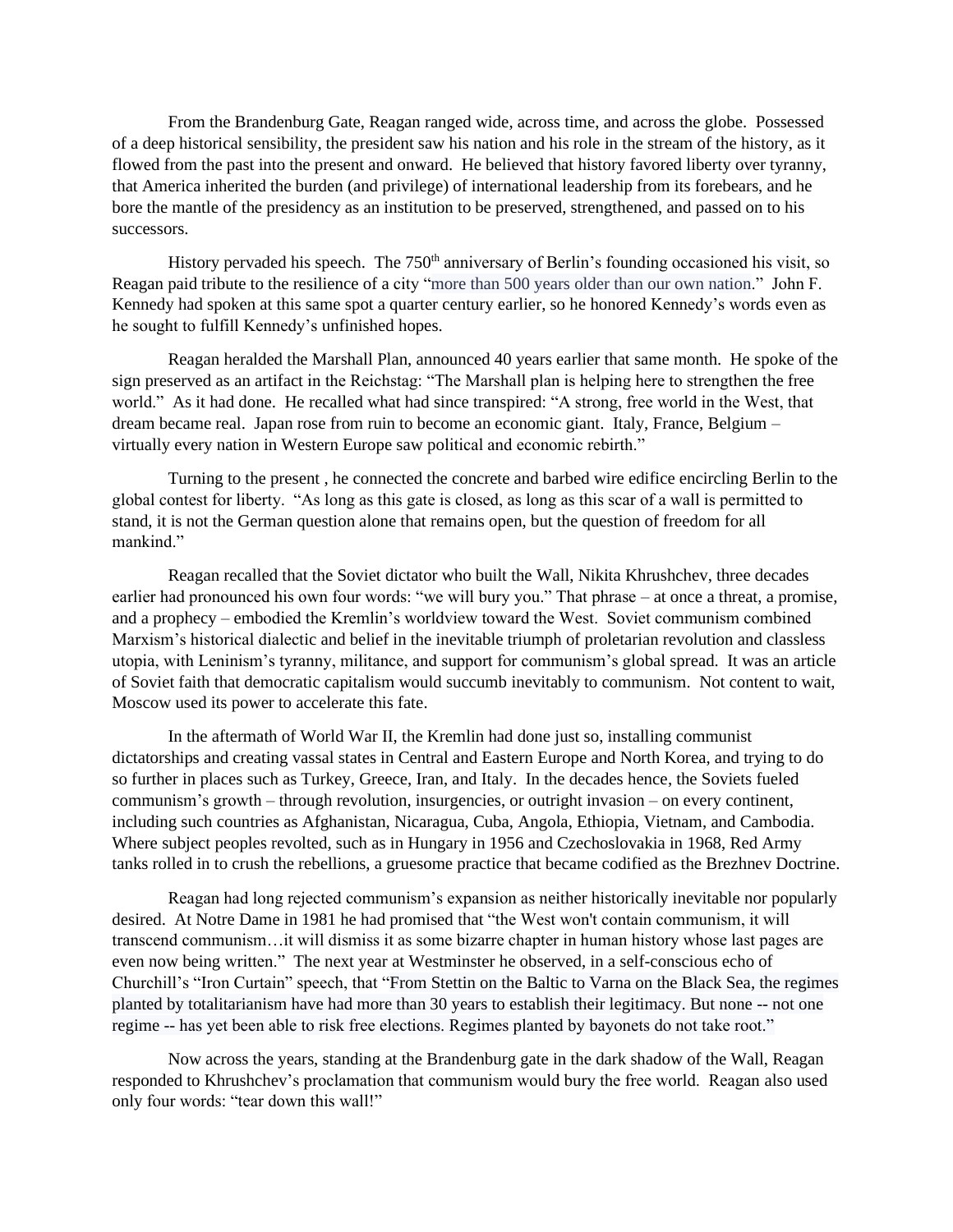From the Brandenburg Gate, Reagan ranged wide, across time, and across the globe. Possessed of a deep historical sensibility, the president saw his nation and his role in the stream of the history, as it flowed from the past into the present and onward. He believed that history favored liberty over tyranny, that America inherited the burden (and privilege) of international leadership from its forebears, and he bore the mantle of the presidency as an institution to be preserved, strengthened, and passed on to his successors.

History pervaded his speech. The  $750<sup>th</sup>$  anniversary of Berlin's founding occasioned his visit, so Reagan paid tribute to the resilience of a city "more than 500 years older than our own nation." John F. Kennedy had spoken at this same spot a quarter century earlier, so he honored Kennedy's words even as he sought to fulfill Kennedy's unfinished hopes.

Reagan heralded the Marshall Plan, announced 40 years earlier that same month. He spoke of the sign preserved as an artifact in the Reichstag: "The Marshall plan is helping here to strengthen the free world." As it had done. He recalled what had since transpired: "A strong, free world in the West, that dream became real. Japan rose from ruin to become an economic giant. Italy, France, Belgium – virtually every nation in Western Europe saw political and economic rebirth."

Turning to the present , he connected the concrete and barbed wire edifice encircling Berlin to the global contest for liberty. "As long as this gate is closed, as long as this scar of a wall is permitted to stand, it is not the German question alone that remains open, but the question of freedom for all mankind."

Reagan recalled that the Soviet dictator who built the Wall, Nikita Khrushchev, three decades earlier had pronounced his own four words: "we will bury you." That phrase – at once a threat, a promise, and a prophecy – embodied the Kremlin's worldview toward the West. Soviet communism combined Marxism's historical dialectic and belief in the inevitable triumph of proletarian revolution and classless utopia, with Leninism's tyranny, militance, and support for communism's global spread. It was an article of Soviet faith that democratic capitalism would succumb inevitably to communism. Not content to wait, Moscow used its power to accelerate this fate.

In the aftermath of World War II, the Kremlin had done just so, installing communist dictatorships and creating vassal states in Central and Eastern Europe and North Korea, and trying to do so further in places such as Turkey, Greece, Iran, and Italy. In the decades hence, the Soviets fueled communism's growth – through revolution, insurgencies, or outright invasion – on every continent, including such countries as Afghanistan, Nicaragua, Cuba, Angola, Ethiopia, Vietnam, and Cambodia. Where subject peoples revolted, such as in Hungary in 1956 and Czechoslovakia in 1968, Red Army tanks rolled in to crush the rebellions, a gruesome practice that became codified as the Brezhnev Doctrine.

Reagan had long rejected communism's expansion as neither historically inevitable nor popularly desired. At Notre Dame in 1981 he had promised that "the West won't contain communism, it will transcend communism…it will dismiss it as some bizarre chapter in human history whose last pages are even now being written." The next year at Westminster he observed, in a self-conscious echo of Churchill's "Iron Curtain" speech, that "From Stettin on the Baltic to Varna on the Black Sea, the regimes planted by totalitarianism have had more than 30 years to establish their legitimacy. But none -- not one regime -- has yet been able to risk free elections. Regimes planted by bayonets do not take root."

Now across the years, standing at the Brandenburg gate in the dark shadow of the Wall, Reagan responded to Khrushchev's proclamation that communism would bury the free world. Reagan also used only four words: "tear down this wall!"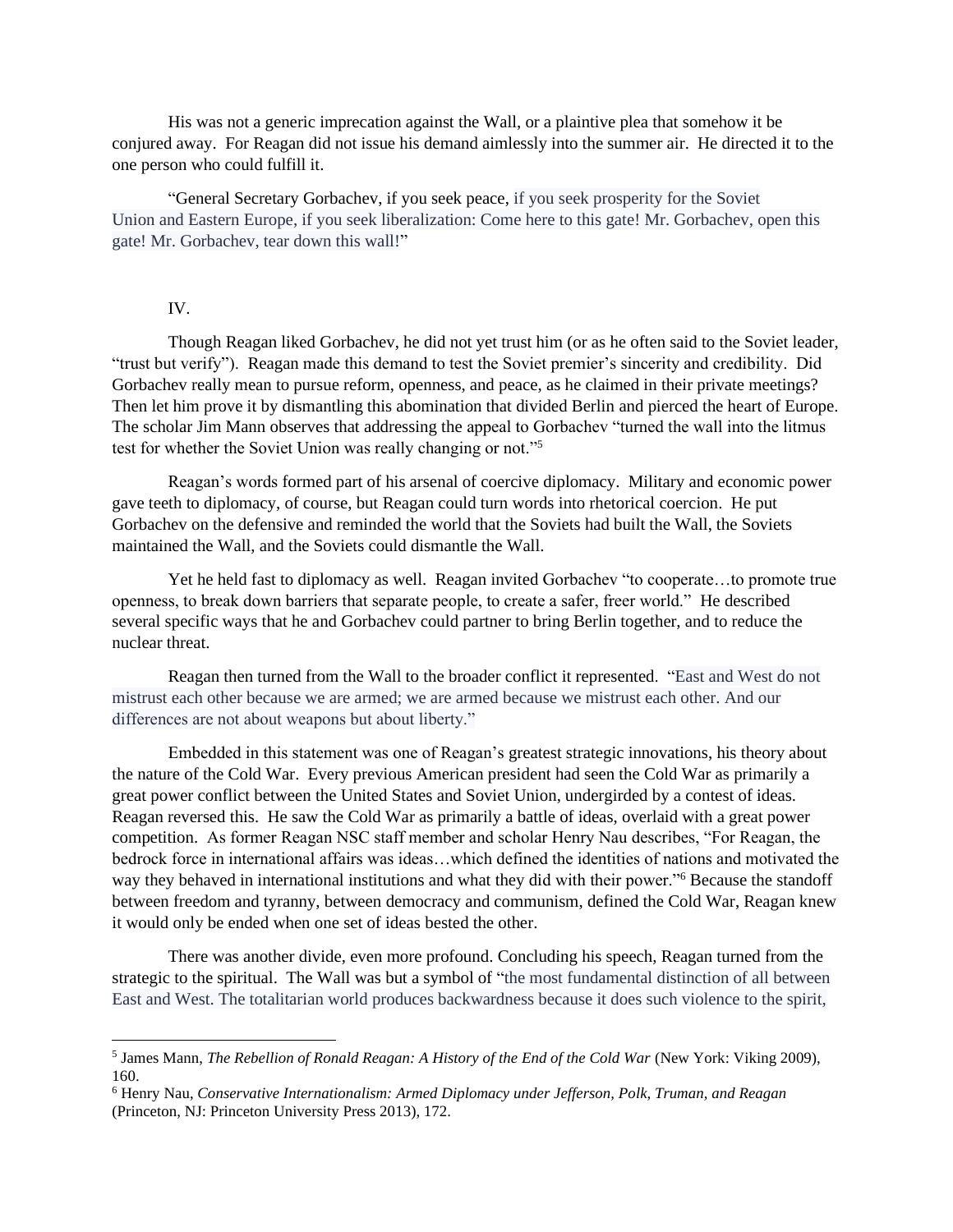His was not a generic imprecation against the Wall, or a plaintive plea that somehow it be conjured away. For Reagan did not issue his demand aimlessly into the summer air. He directed it to the one person who could fulfill it.

"General Secretary Gorbachev, if you seek peace, if you seek prosperity for the Soviet Union and Eastern Europe, if you seek liberalization: Come here to this gate! Mr. Gorbachev, open this gate! Mr. Gorbachev, tear down this wall!"

## IV.

Though Reagan liked Gorbachev, he did not yet trust him (or as he often said to the Soviet leader, "trust but verify"). Reagan made this demand to test the Soviet premier's sincerity and credibility. Did Gorbachev really mean to pursue reform, openness, and peace, as he claimed in their private meetings? Then let him prove it by dismantling this abomination that divided Berlin and pierced the heart of Europe. The scholar Jim Mann observes that addressing the appeal to Gorbachev "turned the wall into the litmus test for whether the Soviet Union was really changing or not."<sup>5</sup>

Reagan's words formed part of his arsenal of coercive diplomacy. Military and economic power gave teeth to diplomacy, of course, but Reagan could turn words into rhetorical coercion. He put Gorbachev on the defensive and reminded the world that the Soviets had built the Wall, the Soviets maintained the Wall, and the Soviets could dismantle the Wall.

Yet he held fast to diplomacy as well. Reagan invited Gorbachev "to cooperate…to promote true openness, to break down barriers that separate people, to create a safer, freer world." He described several specific ways that he and Gorbachev could partner to bring Berlin together, and to reduce the nuclear threat.

Reagan then turned from the Wall to the broader conflict it represented. "East and West do not mistrust each other because we are armed; we are armed because we mistrust each other. And our differences are not about weapons but about liberty."

Embedded in this statement was one of Reagan's greatest strategic innovations, his theory about the nature of the Cold War. Every previous American president had seen the Cold War as primarily a great power conflict between the United States and Soviet Union, undergirded by a contest of ideas. Reagan reversed this. He saw the Cold War as primarily a battle of ideas, overlaid with a great power competition. As former Reagan NSC staff member and scholar Henry Nau describes, "For Reagan, the bedrock force in international affairs was ideas…which defined the identities of nations and motivated the way they behaved in international institutions and what they did with their power."<sup>6</sup> Because the standoff between freedom and tyranny, between democracy and communism, defined the Cold War, Reagan knew it would only be ended when one set of ideas bested the other.

There was another divide, even more profound. Concluding his speech, Reagan turned from the strategic to the spiritual. The Wall was but a symbol of "the most fundamental distinction of all between East and West. The totalitarian world produces backwardness because it does such violence to the spirit,

<sup>5</sup> James Mann, *The Rebellion of Ronald Reagan: A History of the End of the Cold War* (New York: Viking 2009), 160.

<sup>6</sup> Henry Nau, *Conservative Internationalism: Armed Diplomacy under Jefferson, Polk, Truman, and Reagan* (Princeton, NJ: Princeton University Press 2013), 172.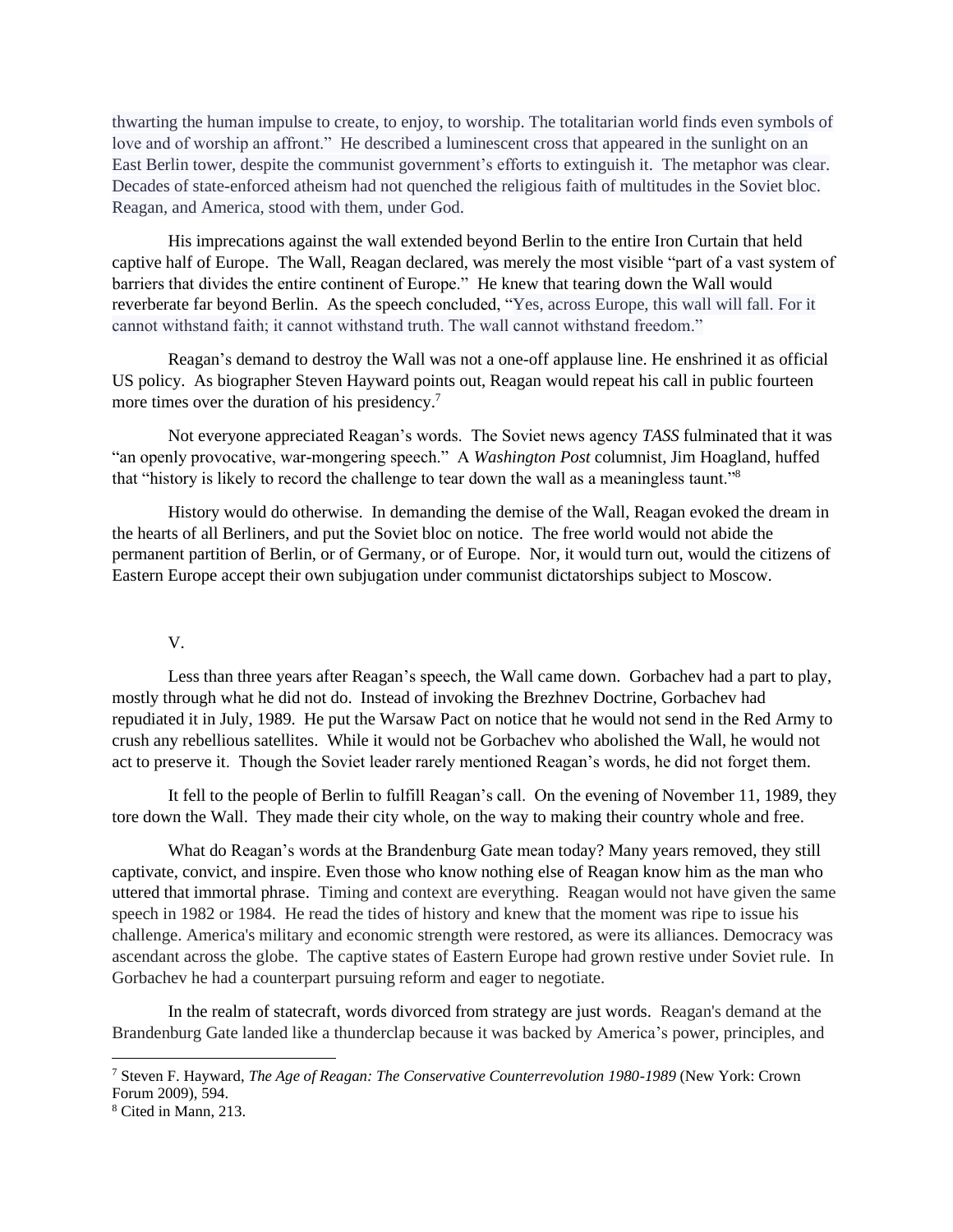thwarting the human impulse to create, to enjoy, to worship. The totalitarian world finds even symbols of love and of worship an affront." He described a luminescent cross that appeared in the sunlight on an East Berlin tower, despite the communist government's efforts to extinguish it. The metaphor was clear. Decades of state-enforced atheism had not quenched the religious faith of multitudes in the Soviet bloc. Reagan, and America, stood with them, under God.

His imprecations against the wall extended beyond Berlin to the entire Iron Curtain that held captive half of Europe. The Wall, Reagan declared, was merely the most visible "part of a vast system of barriers that divides the entire continent of Europe." He knew that tearing down the Wall would reverberate far beyond Berlin. As the speech concluded, "Yes, across Europe, this wall will fall. For it cannot withstand faith; it cannot withstand truth. The wall cannot withstand freedom."

Reagan's demand to destroy the Wall was not a one-off applause line. He enshrined it as official US policy. As biographer Steven Hayward points out, Reagan would repeat his call in public fourteen more times over the duration of his presidency.<sup>7</sup>

Not everyone appreciated Reagan's words. The Soviet news agency *TASS* fulminated that it was "an openly provocative, war-mongering speech." A *Washington Post* columnist, Jim Hoagland, huffed that "history is likely to record the challenge to tear down the wall as a meaningless taunt."<sup>8</sup>

History would do otherwise. In demanding the demise of the Wall, Reagan evoked the dream in the hearts of all Berliners, and put the Soviet bloc on notice. The free world would not abide the permanent partition of Berlin, or of Germany, or of Europe. Nor, it would turn out, would the citizens of Eastern Europe accept their own subjugation under communist dictatorships subject to Moscow.

## V.

Less than three years after Reagan's speech, the Wall came down. Gorbachev had a part to play, mostly through what he did not do. Instead of invoking the Brezhnev Doctrine, Gorbachev had repudiated it in July, 1989. He put the Warsaw Pact on notice that he would not send in the Red Army to crush any rebellious satellites. While it would not be Gorbachev who abolished the Wall, he would not act to preserve it. Though the Soviet leader rarely mentioned Reagan's words, he did not forget them.

It fell to the people of Berlin to fulfill Reagan's call. On the evening of November 11, 1989, they tore down the Wall. They made their city whole, on the way to making their country whole and free.

What do Reagan's words at the Brandenburg Gate mean today? Many years removed, they still captivate, convict, and inspire. Even those who know nothing else of Reagan know him as the man who uttered that immortal phrase. Timing and context are everything. Reagan would not have given the same speech in 1982 or 1984. He read the tides of history and knew that the moment was ripe to issue his challenge. America's military and economic strength were restored, as were its alliances. Democracy was ascendant across the globe. The captive states of Eastern Europe had grown restive under Soviet rule. In Gorbachev he had a counterpart pursuing reform and eager to negotiate.

In the realm of statecraft, words divorced from strategy are just words. Reagan's demand at the Brandenburg Gate landed like a thunderclap because it was backed by America's power, principles, and

<sup>7</sup> Steven F. Hayward, *The Age of Reagan: The Conservative Counterrevolution 1980-1989* (New York: Crown Forum 2009), 594.

<sup>8</sup> Cited in Mann, 213.